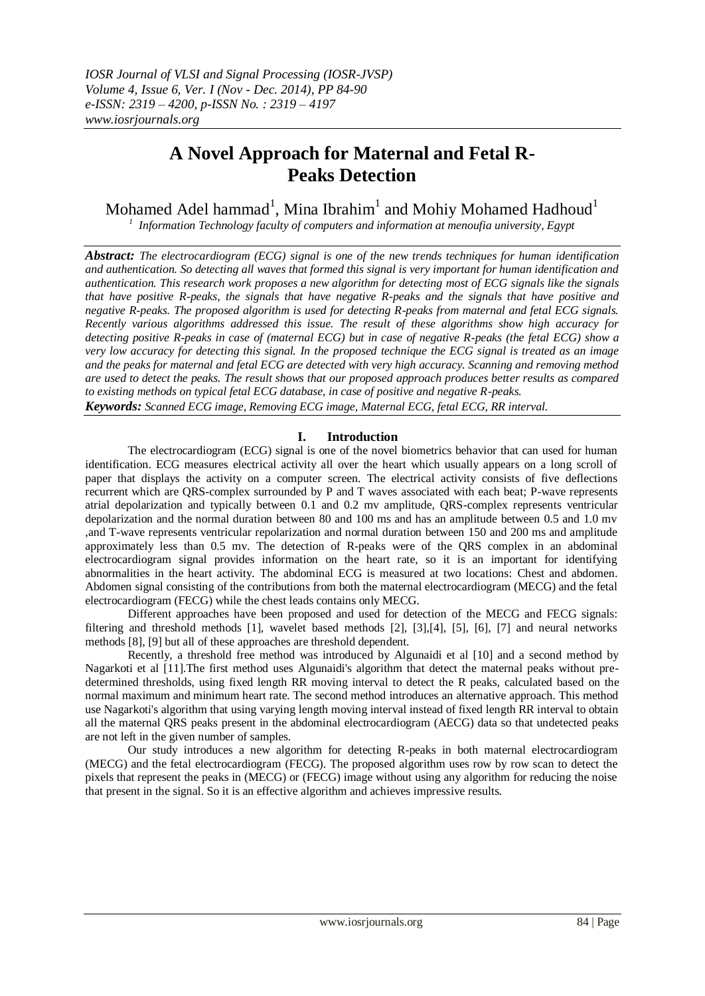# **A Novel Approach for Maternal and Fetal R-Peaks Detection**

Mohamed Adel hammad<sup>1</sup>, Mina Ibrahim $^{\rm l}$  and Mohiy Mohamed Hadhoud $^{\rm l}$ 

*1 Information Technology faculty of computers and information at menoufia university, Egypt*

*Abstract: The electrocardiogram (ECG) signal is one of the new trends techniques for human identification and authentication. So detecting all waves that formed this signal is very important for human identification and authentication. This research work proposes a new algorithm for detecting most of ECG signals like the signals that have positive R-peaks, the signals that have negative R-peaks and the signals that have positive and negative R-peaks. The proposed algorithm is used for detecting R-peaks from maternal and fetal ECG signals. Recently various algorithms addressed this issue. The result of these algorithms show high accuracy for detecting positive R-peaks in case of (maternal ECG) but in case of negative R-peaks (the fetal ECG) show a very low accuracy for detecting this signal. In the proposed technique the ECG signal is treated as an image and the peaks for maternal and fetal ECG are detected with very high accuracy. Scanning and removing method are used to detect the peaks. The result shows that our proposed approach produces better results as compared to existing methods on typical fetal ECG database, in case of positive and negative R-peaks. Keywords: Scanned ECG image, Removing ECG image, Maternal ECG, fetal ECG, RR interval.*

# **I. Introduction**

The electrocardiogram (ECG) signal is one of the novel biometrics behavior that can used for human identification. ECG measures electrical activity all over the heart which usually appears on a long scroll of paper that displays the activity on a computer screen. The electrical activity consists of five deflections recurrent which are QRS-complex surrounded by P and T waves associated with each beat; P-wave represents atrial depolarization and typically between 0.1 and 0.2 mv amplitude, QRS-complex represents ventricular depolarization and the normal duration between 80 and 100 ms and has an amplitude between 0.5 and 1.0 mv ,and T-wave represents ventricular repolarization and normal duration between 150 and 200 ms and amplitude approximately less than 0.5 mv. The detection of R-peaks were of the QRS complex in an abdominal electrocardiogram signal provides information on the heart rate, so it is an important for identifying abnormalities in the heart activity. The abdominal ECG is measured at two locations: Chest and abdomen. Abdomen signal consisting of the contributions from both the maternal electrocardiogram (MECG) and the fetal electrocardiogram (FECG) while the chest leads contains only MECG.

Different approaches have been proposed and used for detection of the MECG and FECG signals: filtering and threshold methods [1], wavelet based methods [2], [3],[4], [5], [6], [7] and neural networks methods [8], [9] but all of these approaches are threshold dependent.

Recently, a threshold free method was introduced by Algunaidi et al [10] and a second method by Nagarkoti et al [11].The first method uses Algunaidi's algorithm that detect the maternal peaks without predetermined thresholds, using fixed length RR moving interval to detect the R peaks, calculated based on the normal maximum and minimum heart rate. The second method introduces an alternative approach. This method use Nagarkoti's algorithm that using varying length moving interval instead of fixed length RR interval to obtain all the maternal QRS peaks present in the abdominal electrocardiogram (AECG) data so that undetected peaks are not left in the given number of samples.

Our study introduces a new algorithm for detecting R-peaks in both maternal electrocardiogram (MECG) and the fetal electrocardiogram (FECG). The proposed algorithm uses row by row scan to detect the pixels that represent the peaks in (MECG) or (FECG) image without using any algorithm for reducing the noise that present in the signal. So it is an effective algorithm and achieves impressive results.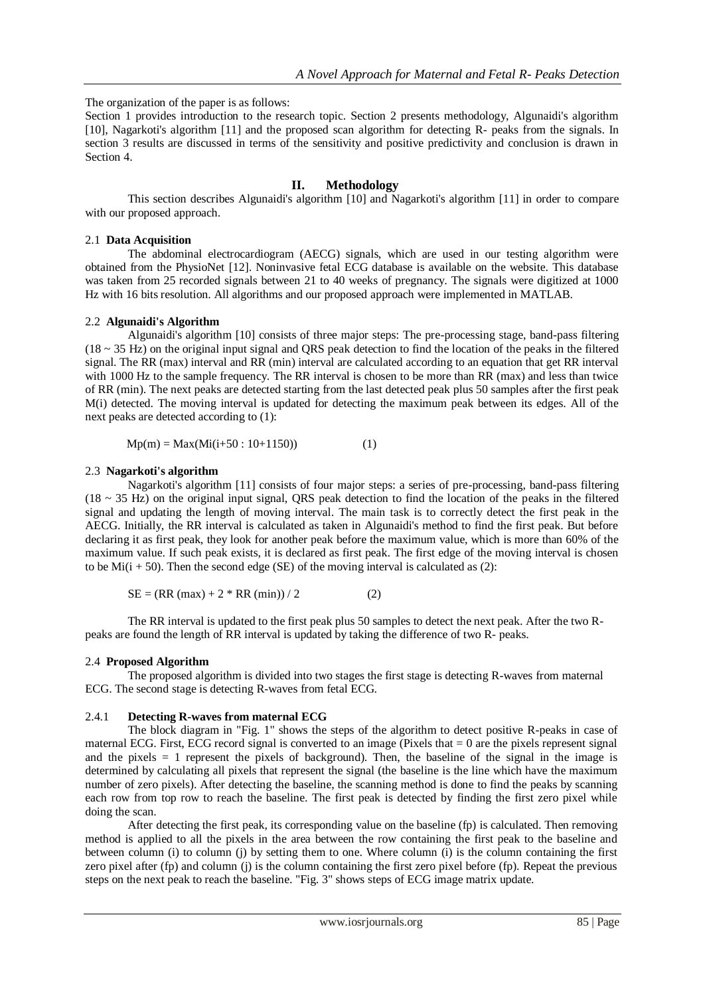The organization of the paper is as follows:

Section 1 provides introduction to the research topic. Section 2 presents methodology, Algunaidi's algorithm [10], Nagarkoti's algorithm [11] and the proposed scan algorithm for detecting R- peaks from the signals. In section 3 results are discussed in terms of the sensitivity and positive predictivity and conclusion is drawn in Section 4.

# **II. Methodology**

This section describes Algunaidi's algorithm [10] and Nagarkoti's algorithm [11] in order to compare with our proposed approach.

#### 2.1 **Data Acquisition**

The abdominal electrocardiogram (AECG) signals, which are used in our testing algorithm were obtained from the PhysioNet [12]. Noninvasive fetal ECG database is available on the website. This database was taken from 25 recorded signals between 21 to 40 weeks of pregnancy. The signals were digitized at 1000 Hz with 16 bits resolution. All algorithms and our proposed approach were implemented in MATLAB.

#### 2.2 **Algunaidi's Algorithm**

Algunaidi's algorithm [10] consists of three major steps: The pre-processing stage, band-pass filtering  $(18 \sim 35 \text{ Hz})$  on the original input signal and QRS peak detection to find the location of the peaks in the filtered signal. The RR (max) interval and RR (min) interval are calculated according to an equation that get RR interval with 1000 Hz to the sample frequency. The RR interval is chosen to be more than RR (max) and less than twice of RR (min). The next peaks are detected starting from the last detected peak plus 50 samples after the first peak M(i) detected. The moving interval is updated for detecting the maximum peak between its edges. All of the next peaks are detected according to (1):

$$
Mp(m) = Max(Mi(i+50:10+1150))
$$
 (1)

#### 2.3 **Nagarkoti's algorithm**

Nagarkoti's algorithm [11] consists of four major steps: a series of pre-processing, band-pass filtering  $(18 \sim 35 \text{ Hz})$  on the original input signal, QRS peak detection to find the location of the peaks in the filtered signal and updating the length of moving interval. The main task is to correctly detect the first peak in the AECG. Initially, the RR interval is calculated as taken in Algunaidi's method to find the first peak. But before declaring it as first peak, they look for another peak before the maximum value, which is more than 60% of the maximum value. If such peak exists, it is declared as first peak. The first edge of the moving interval is chosen to be  $Mi(i + 50)$ . Then the second edge (SE) of the moving interval is calculated as (2):

 $SE = (RR (max) + 2 * RR (min)) / 2$  (2)

The RR interval is updated to the first peak plus 50 samples to detect the next peak. After the two Rpeaks are found the length of RR interval is updated by taking the difference of two R- peaks.

## 2.4 **Proposed Algorithm**

The proposed algorithm is divided into two stages the first stage is detecting R-waves from maternal ECG. The second stage is detecting R-waves from fetal ECG.

## 2.4.1 **Detecting R-waves from maternal ECG**

The block diagram in "Fig. 1" shows the steps of the algorithm to detect positive R-peaks in case of maternal ECG. First, ECG record signal is converted to an image (Pixels that  $= 0$  are the pixels represent signal and the pixels = 1 represent the pixels of background). Then, the baseline of the signal in the image is determined by calculating all pixels that represent the signal (the baseline is the line which have the maximum number of zero pixels). After detecting the baseline, the scanning method is done to find the peaks by scanning each row from top row to reach the baseline. The first peak is detected by finding the first zero pixel while doing the scan.

After detecting the first peak, its corresponding value on the baseline (fp) is calculated. Then removing method is applied to all the pixels in the area between the row containing the first peak to the baseline and between column (i) to column (j) by setting them to one. Where column (i) is the column containing the first zero pixel after (fp) and column (j) is the column containing the first zero pixel before (fp). Repeat the previous steps on the next peak to reach the baseline. "Fig. 3" shows steps of ECG image matrix update.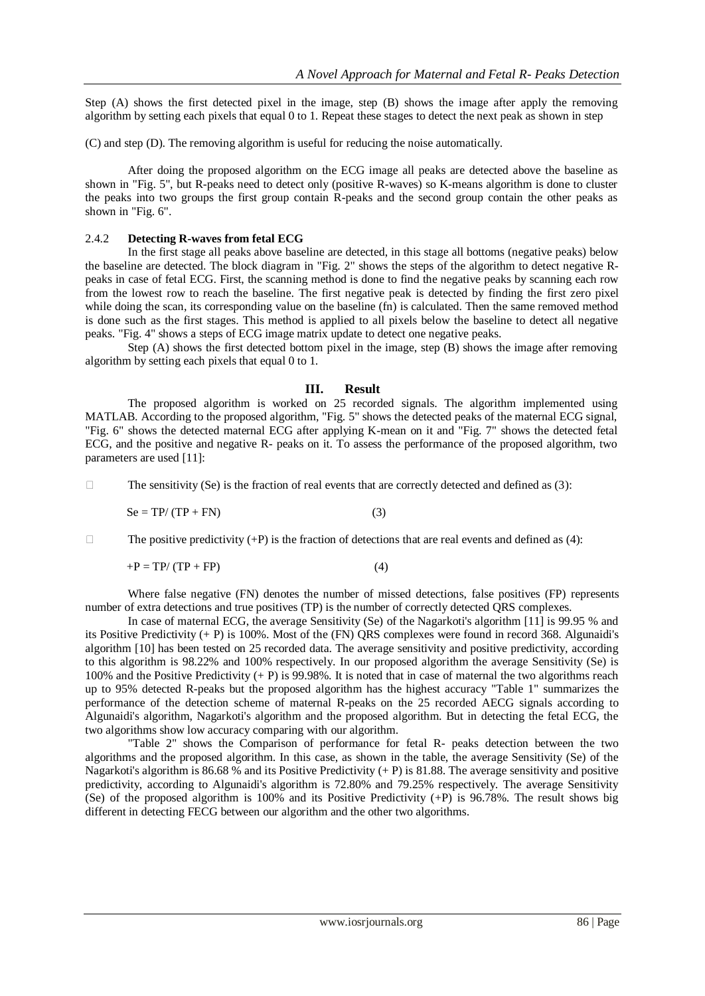Step (A) shows the first detected pixel in the image, step (B) shows the image after apply the removing algorithm by setting each pixels that equal 0 to 1. Repeat these stages to detect the next peak as shown in step

(C) and step (D). The removing algorithm is useful for reducing the noise automatically.

After doing the proposed algorithm on the ECG image all peaks are detected above the baseline as shown in "Fig. 5", but R-peaks need to detect only (positive R-waves) so K-means algorithm is done to cluster the peaks into two groups the first group contain R-peaks and the second group contain the other peaks as shown in "Fig. 6".

#### 2.4.2 **Detecting R-waves from fetal ECG**

In the first stage all peaks above baseline are detected, in this stage all bottoms (negative peaks) below the baseline are detected. The block diagram in "Fig. 2" shows the steps of the algorithm to detect negative Rpeaks in case of fetal ECG. First, the scanning method is done to find the negative peaks by scanning each row from the lowest row to reach the baseline. The first negative peak is detected by finding the first zero pixel while doing the scan, its corresponding value on the baseline (fn) is calculated. Then the same removed method is done such as the first stages. This method is applied to all pixels below the baseline to detect all negative peaks. "Fig. 4" shows a steps of ECG image matrix update to detect one negative peaks.

Step (A) shows the first detected bottom pixel in the image, step (B) shows the image after removing algorithm by setting each pixels that equal 0 to 1.

#### **III. Result**

The proposed algorithm is worked on 25 recorded signals. The algorithm implemented using MATLAB. According to the proposed algorithm, "Fig. 5" shows the detected peaks of the maternal ECG signal, "Fig. 6" shows the detected maternal ECG after applying K-mean on it and "Fig. 7" shows the detected fetal ECG, and the positive and negative R- peaks on it. To assess the performance of the proposed algorithm, two parameters are used [11]:

 $\Box$  The sensitivity (Se) is the fraction of real events that are correctly detected and defined as (3):

$$
Se = TP/(TP + FN)
$$
 (3)

The positive predictivity  $(+P)$  is the fraction of detections that are real events and defined as (4):

$$
+P = TP/(TP + FP)
$$
 (4)

Where false negative (FN) denotes the number of missed detections, false positives (FP) represents number of extra detections and true positives (TP) is the number of correctly detected QRS complexes.

In case of maternal ECG, the average Sensitivity (Se) of the Nagarkoti's algorithm [11] is 99.95 % and its Positive Predictivity (+ P) is 100%. Most of the (FN) QRS complexes were found in record 368. Algunaidi's algorithm [10] has been tested on 25 recorded data. The average sensitivity and positive predictivity, according to this algorithm is 98.22% and 100% respectively. In our proposed algorithm the average Sensitivity (Se) is 100% and the Positive Predictivity (+ P) is 99.98%. It is noted that in case of maternal the two algorithms reach up to 95% detected R-peaks but the proposed algorithm has the highest accuracy "Table 1" summarizes the performance of the detection scheme of maternal R-peaks on the 25 recorded AECG signals according to Algunaidi's algorithm, Nagarkoti's algorithm and the proposed algorithm. But in detecting the fetal ECG, the two algorithms show low accuracy comparing with our algorithm.

"Table 2" shows the Comparison of performance for fetal R- peaks detection between the two algorithms and the proposed algorithm. In this case, as shown in the table, the average Sensitivity (Se) of the Nagarkoti's algorithm is 86.68 % and its Positive Predictivity  $(+ P)$  is 81.88. The average sensitivity and positive predictivity, according to Algunaidi's algorithm is 72.80% and 79.25% respectively. The average Sensitivity (Se) of the proposed algorithm is 100% and its Positive Predictivity  $(+P)$  is 96.78%. The result shows big different in detecting FECG between our algorithm and the other two algorithms.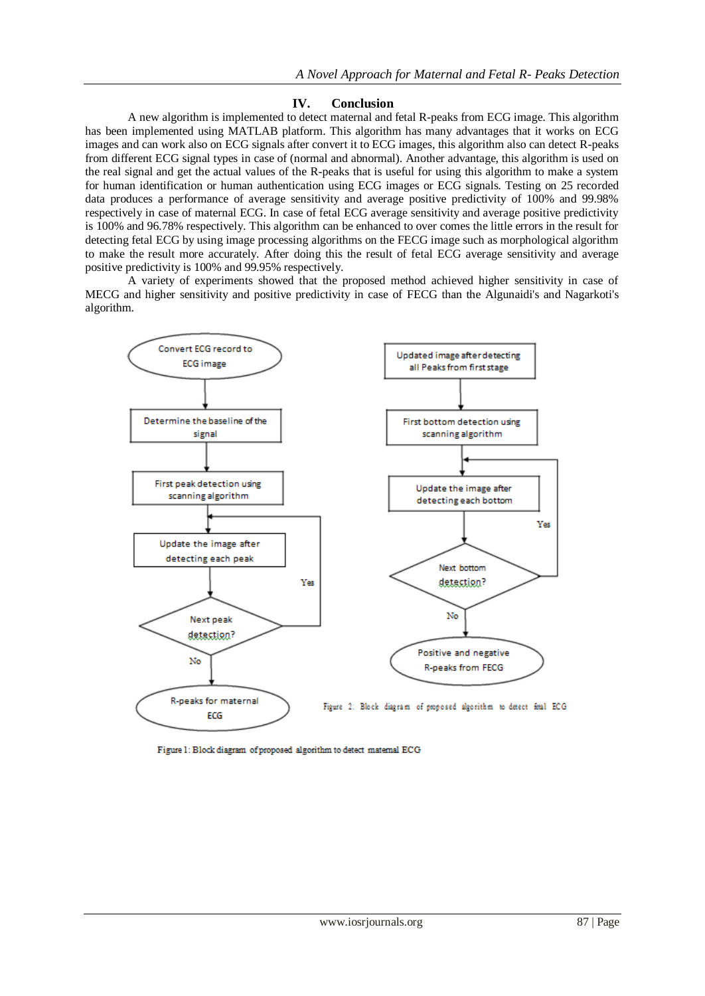#### **IV. Conclusion**

A new algorithm is implemented to detect maternal and fetal R-peaks from ECG image. This algorithm has been implemented using MATLAB platform. This algorithm has many advantages that it works on ECG images and can work also on ECG signals after convert it to ECG images, this algorithm also can detect R-peaks from different ECG signal types in case of (normal and abnormal). Another advantage, this algorithm is used on the real signal and get the actual values of the R-peaks that is useful for using this algorithm to make a system for human identification or human authentication using ECG images or ECG signals. Testing on 25 recorded data produces a performance of average sensitivity and average positive predictivity of 100% and 99.98% respectively in case of maternal ECG. In case of fetal ECG average sensitivity and average positive predictivity is 100% and 96.78% respectively. This algorithm can be enhanced to over comes the little errors in the result for detecting fetal ECG by using image processing algorithms on the FECG image such as morphological algorithm to make the result more accurately. After doing this the result of fetal ECG average sensitivity and average positive predictivity is 100% and 99.95% respectively.

A variety of experiments showed that the proposed method achieved higher sensitivity in case of MECG and higher sensitivity and positive predictivity in case of FECG than the Algunaidi's and Nagarkoti's algorithm.



Figure 1: Block diagram of proposed algorithm to detect matemal ECG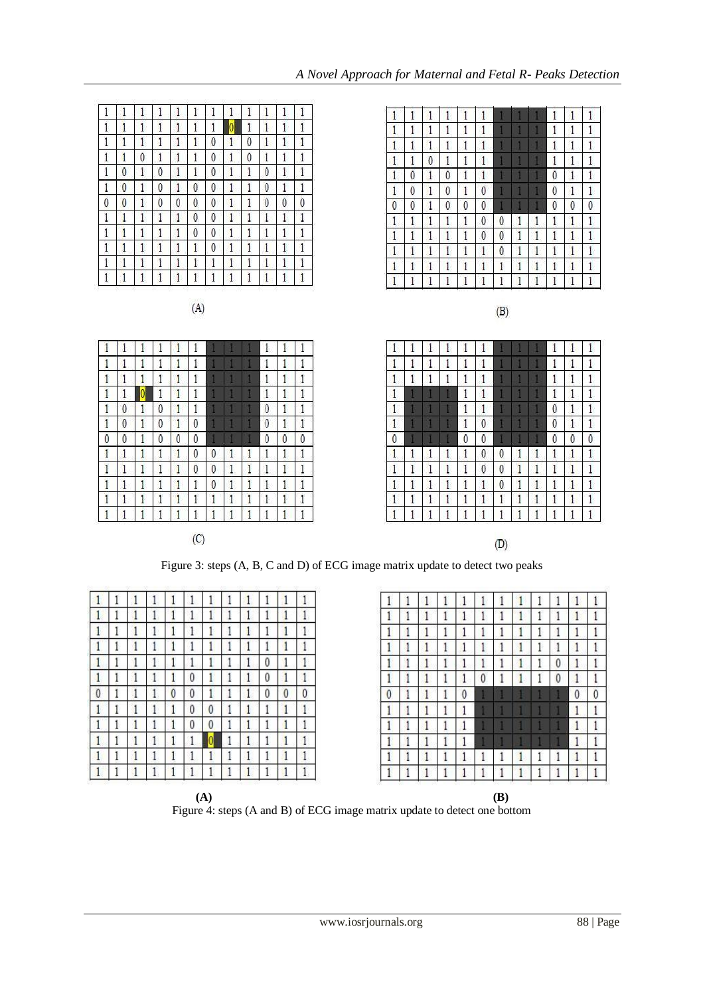|              |              |              |              |              |              |              |              |              |              |              |                |                                                                                | ÷            | v            | ÷.           | ÷            |                |              |              |              | ÷            | щ              |
|--------------|--------------|--------------|--------------|--------------|--------------|--------------|--------------|--------------|--------------|--------------|----------------|--------------------------------------------------------------------------------|--------------|--------------|--------------|--------------|----------------|--------------|--------------|--------------|--------------|----------------|
| 1            | 0            | 1            | $\theta$     | 1            | 1            | 0            | $\mathbf{1}$ | 1            | $\theta$     | 1            | 1              | $\mathbf{1}$                                                                   | 0            | 1            | $\theta$     | 1            | 1              |              |              |              | $\mathbf{0}$ | $\mathbf{1}$   |
| 1            | $\mathbf{0}$ | 1            | $\theta$     | $\mathbf{1}$ | $\theta$     | $\mathbf{0}$ |              | 1            | $\theta$     | 1            | 1              | $\mathbf{1}$                                                                   | $\mathbf{0}$ | $\mathbf{1}$ | $\theta$     | $\mathbf{1}$ | $\mathbf{0}$   |              |              |              | $\bf{0}$     | $\mathbf{1}$   |
| 0            | $\mathbf{0}$ | $\mathbf{1}$ | $\theta$     | $\theta$     | $\theta$     | $\mathbf{0}$ | $\mathbf{1}$ | $\mathbf{1}$ | $\mathbf{0}$ | $\mathbf{0}$ | $\overline{0}$ | $\mathbf{0}$                                                                   | $\mathbf{0}$ | $\mathbf{1}$ | $\mathbf{0}$ | $\mathbf{0}$ | $\overline{0}$ |              |              |              | $\theta$     | $\mathbf{0}$   |
| 1            | 1            | $\mathbf{1}$ | 1            | $\mathbf{1}$ | $\mathbf{0}$ | $\mathbf{0}$ | $\mathbf{1}$ | $\mathbf{1}$ | $\mathbf{1}$ | 1            | $\mathbf{1}$   | 1                                                                              | 1            | 1            | 1            | 1            | $\theta$       | $\mathbf{0}$ |              |              | 1            | $\mathbf{1}$   |
| 1            | 1            | $\mathbf{1}$ | $\mathbf{1}$ | $\mathbf{1}$ | $\bf{0}$     | $\mathbf{0}$ | $\mathbf{1}$ | 1            | $\mathbf{1}$ | 1            | $\mathbf{1}$   | $\mathbf{1}$                                                                   | 1            | 1            | 1            | 1            | $\mathbf{0}$   | $\theta$     | 1            | 1            | 1            | 1              |
| 1            | 1            | 1            | $\mathbf{1}$ | 1            | 1            | $\theta$     | $\mathbf{1}$ | 1            | $\mathbf{1}$ | 1            | $\mathbf{1}$   | $\mathbf{1}$                                                                   | 1            | $\mathbf{1}$ | 1            | $\mathbf{1}$ | $\mathbf{1}$   | $\mathbf{0}$ |              | $\mathbf{1}$ | 1            | $\mathbf{1}$   |
| 1            | 1            | 1            | 1            | $\mathbf{1}$ | 1            | 1            | 1            | 1            | $\mathbf{1}$ | 1            | $\mathbf{1}$   | $\mathbf{1}$                                                                   | 1            | $\mathbf{1}$ | 1            | $\mathbf{1}$ | $\mathbf{1}$   | 1            | 1            | $\mathbf{1}$ | 1            | $\overline{1}$ |
| 1            |              |              | 1            | $\mathbf{1}$ |              | 1            |              | 1            | $\mathbf{1}$ | 1            | $\mathbf{1}$   | 1                                                                              | 1            | 1            | 1            | 1            | 1              | 1            |              | 1            | 1            | $\mathbf{1}$   |
|              |              |              |              |              | (A)          |              |              |              |              |              |                |                                                                                |              |              |              |              |                | (B)          |              |              |              |                |
|              |              |              |              |              |              |              |              |              |              |              |                |                                                                                |              |              |              |              |                |              |              |              |              |                |
| 1            | 1            |              |              | 1            | 1            |              |              |              | 1            | 1            | 1              | 1                                                                              | 1            | 1            | 1            | 1            |                |              |              |              | 1            | $\mathbf{1}$   |
| 1            | 1            |              |              | 1            | 1            |              |              |              | 1            |              | 1              | 1                                                                              | 1            | 1            | 1            | 1            | 1              |              |              |              | 1            | 1              |
| $\mathbf{1}$ |              |              |              | 1            | 1            |              |              |              | 1            |              | $\mathbf{1}$   | $\mathbf{1}$                                                                   |              | 1            | 1            | 1            | $\mathbf{1}$   |              |              |              | 1            |                |
| 1            | 1            | 0            |              | $\mathbf{1}$ | 1            |              |              |              | 1            | 1            | $\mathbf{1}$   | $\mathbf{1}$                                                                   |              |              |              | 1            | $\mathbf{1}$   |              |              |              | 1            | $\mathbf{1}$   |
| $\mathbf{1}$ | $\mathbf{0}$ | 1            | 0            | $\mathbf{1}$ | Ï            |              |              |              | $\theta$     | 1            | $\mathbf{1}$   | $\mathbf{1}$                                                                   |              |              |              | 1            | $\mathbf{1}$   |              |              |              | $\theta$     | $\mathbf{1}$   |
| 1            | $\theta$     | 1            | $\theta$     | 1            | $\theta$     |              |              |              | $\theta$     | 1            | $\mathbf{1}$   | $\mathbf{1}$                                                                   |              |              |              | 1            | $\mathbf{0}$   |              |              |              | $\theta$     | $\mathbf{1}$   |
| 0            | 0            | 1            | 0            | $\theta$     | $\theta$     |              |              |              | 0            | $\mathbf{0}$ | $\mathbf 0$    | $\theta$                                                                       |              |              |              | $\mathbf{0}$ | $\mathbf{0}$   |              |              |              | $\theta$     | $\mathbf{0}$   |
| 1            | 1            | 1            | 1            | $\mathbf{1}$ | 0            | $\theta$     | 1            | $\mathbf{1}$ | 1            | 1            | $\mathbf{1}$   | 1                                                                              | 1            | 1            | 1            | $\mathbf{1}$ | $\theta$       | 0            | 1            | $\mathbf{1}$ | 1            | $\mathbf{1}$   |
| $\mathbf{1}$ | $\mathbf{1}$ | 1            | 1            | 1            | $\bf{0}$     | $\theta$     | $\mathbf{1}$ | 1            | 1            | 1            | 1              | $\mathbf{1}$                                                                   | 1            | $\mathbf{1}$ | $\mathbf{1}$ | $\mathbf{1}$ | $\theta$       | $\theta$     | $\mathbf{1}$ | 1            | 1            | $\mathbf{1}$   |
| $\mathbf{1}$ | 1            | 1            | 1            | $\mathbf{1}$ | 1            | $\mathbf{0}$ | $\mathbf{1}$ | 1            | $\mathbf{1}$ | 1            | $\mathbf{1}$   | $\mathbf{1}$                                                                   | 1            | $\mathbf{1}$ | $\mathbf{1}$ | $\mathbf{1}$ | $\mathbf{1}$   | $\theta$     | 1            | $\mathbf{1}$ | 1            |                |
| 1            | $\mathbf{1}$ | 1            | 1            | $\mathbf{1}$ | 1            | 1            | 1            | 1            | 1            | 1            | 1              | $\mathbf{1}$                                                                   | 1            | $\mathbf{1}$ | 1            | $\mathbf{1}$ | $\mathbf{1}$   | 1            | 1            | $\mathbf{1}$ | 1            |                |
| 1            | 1            |              |              | 1            |              |              |              | 1            | 1            | 1            | 1              | $\mathbf{1}$                                                                   | 1            |              |              | 1            |                |              |              | 1            | 1            | $\mathbf{1}$   |
|              |              |              |              |              | (C)          |              |              |              |              |              |                |                                                                                |              |              |              |              |                |              |              |              |              |                |
|              |              |              |              |              |              |              |              |              |              |              |                |                                                                                |              |              |              |              |                | (D)          |              |              |              |                |
|              |              |              |              |              |              |              |              |              |              |              |                | Figure 3: steps (A, B, C and D) of ECG image matrix update to detect two peaks |              |              |              |              |                |              |              |              |              |                |
|              |              |              |              |              |              |              |              |              |              |              |                |                                                                                |              |              |              |              |                |              |              |              |              |                |

 $\mathbf 1$ 

 $\overline{1}$  $\overline{1}$ 

 $\vert$  1

 $\mathbf{1}$ 

 $|1$ 

 $\overline{1}$ 

 $\,1\,$  $\overline{1}$  $\overline{1}$ 

 $\overline{1}$ 

 $\overline{1}$  $\overline{1}$  $\overline{1}$ 

 $\overline{1}$ 

 $\overline{1}$  $\overline{1}$  $\pmb{0}$  $\,$  1  $\,$  $\,1$  $\overline{1}$  $\,1$  $\mathbf{1}$ 

 $\mathbf{1}$  $\,1$  $\,$  1  $\overline{1}$ 

 $\begin{array}{c} 1 \\ 0 \\ 1 \end{array}$ 

 $\,1$  $\overline{1}$  $\mathbbm{1}$  $\overline{1}$ 

 $\overline{1}$ 

 $\overline{1}$  $\overline{1}$ 

 $\overline{1}$  $\overline{1}$  $\overline{1}$ 

 $\mathbf{1}$ 

 $\mathbf{1}$  $\mathbf{1}$  $\mathbf{1}$ 

 $\mathbf{1}$  $\mathbf{1}$  $\mathbf{1}$  $\mathbf{1}$ 

 $\mathbf{1}$ 

 $\vert$  1  $\mathbf{1}$ 

 $\overline{1}$ 

 $\mathbf{1}$  $1\,$ 

 $\mathbf 0$ 

|                |   |   |   |   |   |              |              |              |   |   | Ï              |
|----------------|---|---|---|---|---|--------------|--------------|--------------|---|---|----------------|
| 1              | 1 |   |   |   | 1 |              |              |              |   |   | 1              |
| $\mathbf{1}$   | 1 | 1 | 1 | 1 | 1 |              |              |              | 1 | 1 | $\mathbf{1}$   |
| $\mathbf{1}$   | 1 | 0 | 1 | 1 | ĭ | 1            |              | ı            | 1 | 1 | $\mathbf{1}$   |
| $\mathbf{1}$   | 0 | 1 | 0 | 1 | ĺ | 1            |              |              | 0 | 1 | $\mathbf{1}$   |
| $\overline{1}$ | 0 | 1 | 0 |   | 0 | 1            |              |              | 0 | ŀ | $\overline{1}$ |
| 0              | 0 | 1 | 0 | 0 | 0 |              |              |              | 0 | 0 | 0              |
| $\mathbf{1}$   | 1 | 1 | 1 | 1 | 0 | 0            | 1            | 1            | 1 | 1 | $\mathbf{1}$   |
| $\mathbf{1}$   | 1 | 1 | 1 | 1 | 0 | 0            | 1            | 1            | 1 | 1 | $\mathbf{1}$   |
| $\mathbf{1}$   | 1 | 1 | 1 | 1 | ĺ | $\mathbf{0}$ | 1            | $\mathbf{1}$ | 1 | 1 | $\overline{1}$ |
| $\mathbf{1}$   | 1 | 1 | 1 | 1 | 1 | 1            | $\mathbf{1}$ | 1            | 1 | ŀ | $\overline{1}$ |
| 1              |   | 1 | 1 | 1 | ĺ |              | 1            | 1            |   | 1 | $\mathbf{1}$   |

 $\overline{1}$  $\overline{1}$  $\overline{1}$ 

 $\overline{1}$ 

 $\overline{1}$ 

 $\bar{1}$  $\overline{1}$  $\mathbf{0}$  $\overline{1}$ 

 $\overline{1}$  $\overline{1}$ 

 $\overline{1}$  $\overline{1}$  $\overline{1}$  $\overline{1}$  $\overline{1}$  $\overline{0}$  $\overline{1}$  $\overline{0}$ 

 $\overline{1}$ 

 $\overline{1}$  $\overline{1}$ 

 $\mathbf{1}$  $\overline{1}$ 

 $\mathbf{1}$ 

 $\overline{1}$  $\overline{1}$  $\overline{1}$   $\overline{1}$  $\vert$  1  $\overline{1}$  $\overline{1}$  $\overline{1}$ 

> $\overline{1}$  $\overline{1}$  $\overline{1}$  $\overline{1}$

> > $\overline{1}$

 $\overline{1}$  $\overline{1}$ 

 $\overline{1}$ 

 $\mathbf 0$  $\overline{1}$  $\boldsymbol{0}$  $\overline{1}$  $\overline{1}$  $\overline{1}$ 

|   |  |   |   |   |   | 1 |   |   |    |
|---|--|---|---|---|---|---|---|---|----|
|   |  |   |   |   |   | 1 |   | 1 |    |
|   |  | 1 |   |   |   | 1 |   | 1 |    |
|   |  | 1 |   |   |   | 1 | 0 | 1 | ×  |
| 1 |  | 1 | 1 | 0 |   | 1 | 0 | 1 |    |
| 0 |  |   | 0 | 0 |   | 1 | 0 | 0 | 0  |
| 1 |  |   |   | 0 | 0 | 1 |   | 1 |    |
|   |  |   |   | 0 | 0 | 1 |   | 1 |    |
| 1 |  |   |   |   |   | 1 |   | 1 | r. |
|   |  |   |   |   |   | 1 |   |   |    |
|   |  |   |   |   |   |   |   |   |    |

|          |  | 1 |   |   |   |   |   |   |
|----------|--|---|---|---|---|---|---|---|
|          |  |   |   |   |   |   |   |   |
| 1        |  |   |   | 1 |   |   |   |   |
|          |  |   |   | 1 |   | 0 |   |   |
|          |  | 1 | 0 | 1 | 1 | 0 |   |   |
| $\theta$ |  | 0 |   |   |   |   | 0 | 0 |
|          |  |   |   |   |   |   |   |   |
| 1        |  |   |   |   |   |   |   |   |
|          |  |   |   |   |   |   |   |   |
|          |  | 1 |   |   |   |   |   |   |
|          |  |   |   |   |   |   |   |   |

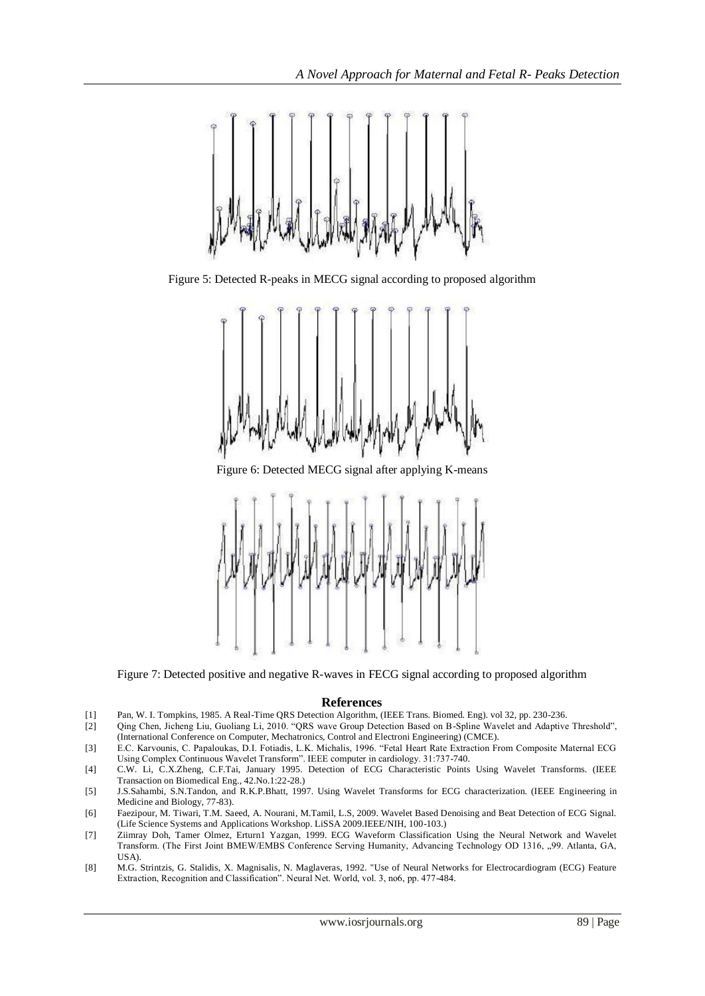

Figure 5: Detected R-peaks in MECG signal according to proposed algorithm



Figure 6: Detected MECG signal after applying K-means



Figure 7: Detected positive and negative R-waves in FECG signal according to proposed algorithm

#### **References**

- [1] Pan, W. I. Tompkins, 1985. A Real-Time QRS Detection Algorithm, (IEEE Trans. Biomed. Eng). vol 32, pp. 230-236.
- [2] Qing Chen, Jicheng Liu, Guoliang Li, 2010. "QRS wave Group Detection Based on B-Spline Wavelet and Adaptive Threshold", (International Conference on Computer, Mechatronics, Control and Electroni Engineering) (CMCE).
- [3] E.C. Karvounis, C. Papaloukas, D.I. Fotiadis, L.K. Michalis, 1996. "Fetal Heart Rate Extraction From Composite Maternal ECG Using Complex Continuous Wavelet Transform". IEEE computer in cardiology. 31:737-740.
- [4] C.W. Li, C.X.Zheng, C.F.Tai, January 1995. Detection of ECG Characteristic Points Using Wavelet Transforms. (IEEE Transaction on Biomedical Eng., 42.No.1:22-28.)
- [5] J.S.Sahambi, S.N.Tandon, and R.K.P.Bhatt, 1997. Using Wavelet Transforms for ECG characterization. (IEEE Engineering in Medicine and Biology, 77-83).
- [6] Faezipour, M. Tiwari, T.M. Saeed, A. Nourani, M.Tamil, L.S, 2009. Wavelet Based Denoising and Beat Detection of ECG Signal. (Life Science Systems and Applications Workshop. LiSSA 2009.IEEE/NIH, 100-103.)
- [7] Ziimray Doh, Tamer Olmez, Erturn1 Yazgan, 1999. ECG Waveform Classification Using the Neural Network and Wavelet Transform. (The First Joint BMEW/EMBS Conference Serving Humanity, Advancing Technology OD 1316, "99. Atlanta, GA, USA).
- [8] M.G. Strintzis, G. Stalidis, X. Magnisalis, N. Maglaveras, 1992. "Use of Neural Networks for Electrocardiogram (ECG) Feature Extraction, Recognition and Classification". Neural Net. World, vol. 3, no6, pp. 477-484.